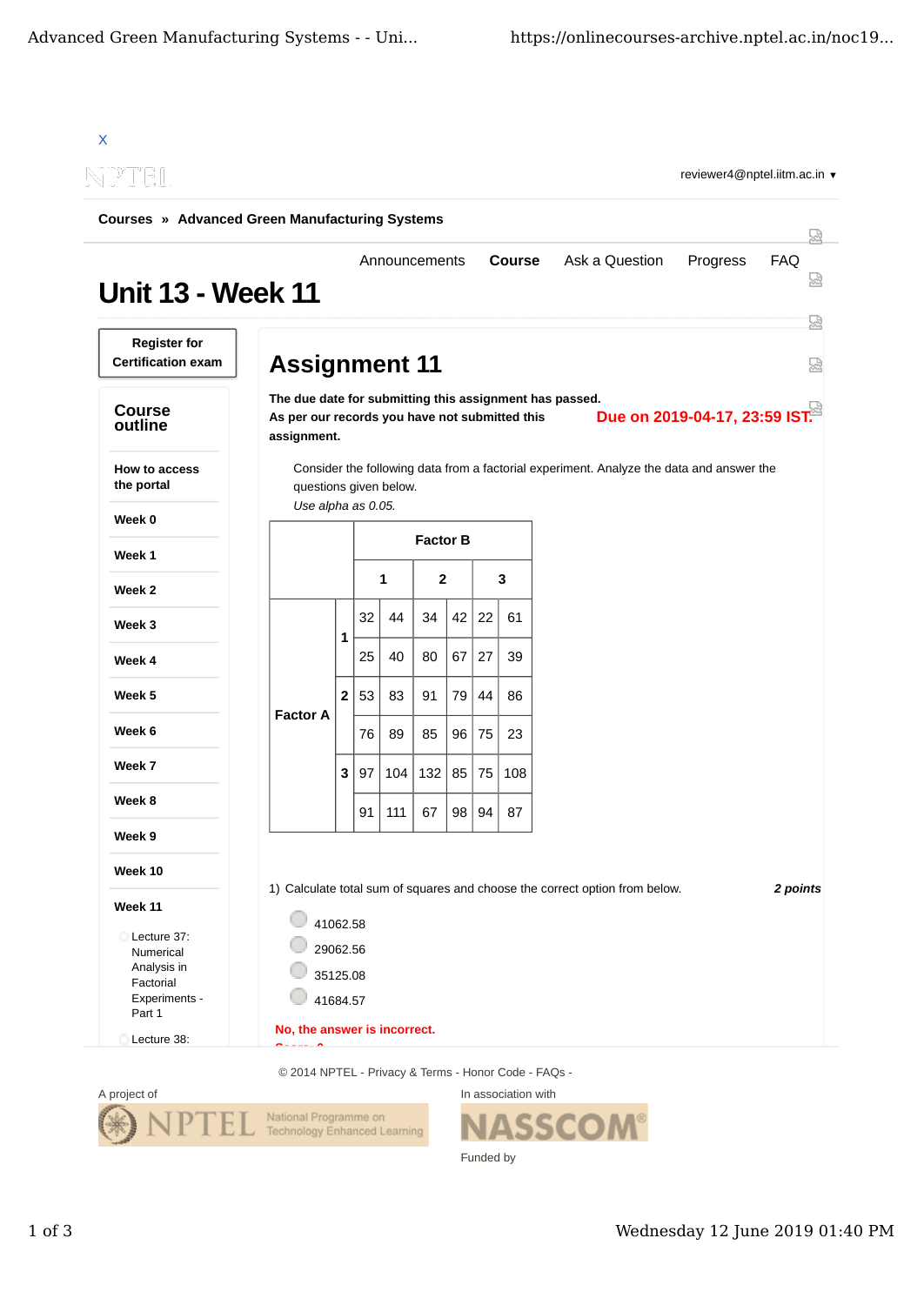| <b>Courses » Advanced Green Manufacturing Systems</b>                            |                                                                                                                          |                     |    |               |     |      |    |               |                                                                                          |                               |          |
|----------------------------------------------------------------------------------|--------------------------------------------------------------------------------------------------------------------------|---------------------|----|---------------|-----|------|----|---------------|------------------------------------------------------------------------------------------|-------------------------------|----------|
| <b>Unit 13 - Week 11</b>                                                         |                                                                                                                          |                     |    | Announcements |     |      |    | <b>Course</b> | Ask a Question                                                                           | Progress                      | FAQ      |
| <b>Register for</b><br><b>Certification exam</b>                                 | <b>Assignment 11</b>                                                                                                     |                     |    |               |     |      |    |               |                                                                                          |                               |          |
| <b>Course</b><br>outline                                                         | The due date for submitting this assignment has passed.<br>As per our records you have not submitted this<br>assignment. |                     |    |               |     |      |    |               |                                                                                          | Due on 2019-04-17, 23:59 IST. |          |
| <b>How to access</b><br>the portal                                               | questions given below.                                                                                                   |                     |    |               |     |      |    |               | Consider the following data from a factorial experiment. Analyze the data and answer the |                               |          |
| Week 0                                                                           | Use alpha as 0.05.                                                                                                       |                     |    |               |     |      |    |               |                                                                                          |                               |          |
| Week 1                                                                           | <b>Factor B</b>                                                                                                          |                     |    |               |     |      |    |               |                                                                                          |                               |          |
| Week 2                                                                           |                                                                                                                          | $\overline{2}$<br>1 |    |               |     |      |    | 3             |                                                                                          |                               |          |
| Week 3                                                                           |                                                                                                                          |                     | 32 | 44            | 34  | 42   | 22 | 61            |                                                                                          |                               |          |
| Week 4                                                                           |                                                                                                                          | 1                   | 25 | 40            | 80  | 67   | 27 | 39            |                                                                                          |                               |          |
| Week 5                                                                           |                                                                                                                          | $\mathbf{2}$        | 53 | 83            | 91  | 79   | 44 | 86            |                                                                                          |                               |          |
| Week 6                                                                           | <b>Factor A</b>                                                                                                          |                     | 76 | 89            | 85  | 96   | 75 | 23            |                                                                                          |                               |          |
| Week 7                                                                           |                                                                                                                          | 3                   | 97 | 104           | 132 | 85   | 75 | 108           |                                                                                          |                               |          |
| Week 8                                                                           |                                                                                                                          |                     | 91 | 111           | 67  | 98 l | 94 | 87            |                                                                                          |                               |          |
| Week 9                                                                           |                                                                                                                          |                     |    |               |     |      |    |               |                                                                                          |                               |          |
| Week 10                                                                          |                                                                                                                          |                     |    |               |     |      |    |               |                                                                                          |                               |          |
| Week 11<br>Lecture 37:<br>Numerical<br>Analysis in<br>Factorial<br>Experiments - | 41062.58<br>29062.56<br>35125.08<br>41684.57                                                                             |                     |    |               |     |      |    |               | 1) Calculate total sum of squares and choose the correct option from below.              |                               | 2 points |

© 2014 NPTEL - Privacy & Terms - Honor Code - FAQs -



In association with **ASSCOM®** Funded by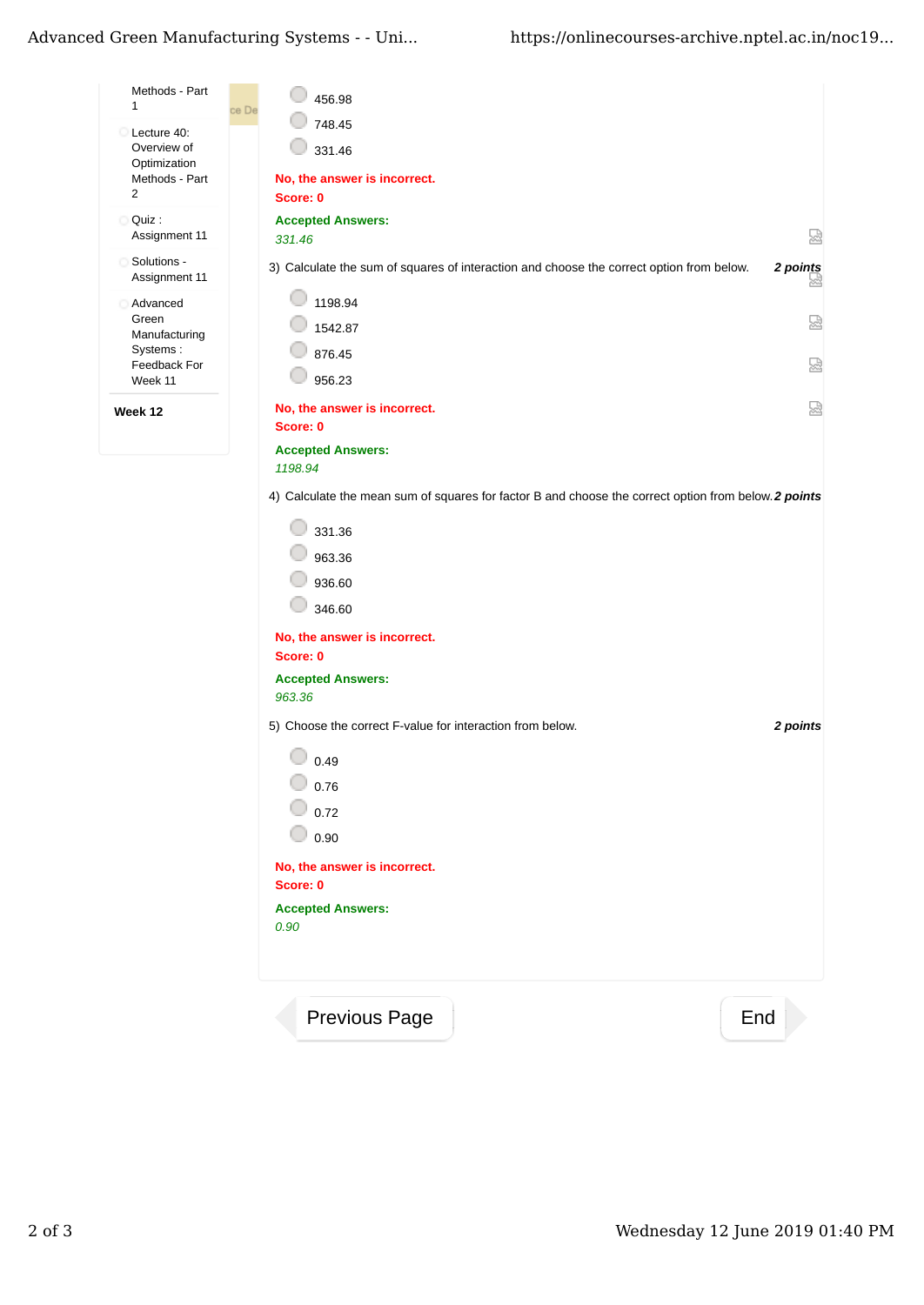| Methods - Part<br>1                        | 456.98<br>ce De                                                                                      |               |
|--------------------------------------------|------------------------------------------------------------------------------------------------------|---------------|
| Lecture 40:<br>Overview of<br>Optimization | 748.45<br>331.46                                                                                     |               |
| Methods - Part<br>$\overline{2}$           | No, the answer is incorrect.<br>Score: 0                                                             |               |
| Quiz :<br>О<br>Assignment 11               | <b>Accepted Answers:</b><br>331.46                                                                   | 얺             |
| Solutions -<br>Assignment 11               | 3) Calculate the sum of squares of interaction and choose the correct option from below.             | 2 points<br>₩ |
| Advanced<br>Green<br>Manufacturing         | 1198.94<br>1542.87                                                                                   | 닯             |
| Systems:<br>Feedback For<br>Week 11        | 876.45<br>956.23                                                                                     | 딣             |
| Week 12                                    | No, the answer is incorrect.<br>Score: 0                                                             | 덣             |
|                                            | <b>Accepted Answers:</b><br>1198.94                                                                  |               |
|                                            | 4) Calculate the mean sum of squares for factor B and choose the correct option from below. 2 points |               |
|                                            | 331.36                                                                                               |               |
|                                            | 963.36<br>936.60                                                                                     |               |
|                                            | 346.60                                                                                               |               |
|                                            | No, the answer is incorrect.<br>Score: 0                                                             |               |
|                                            | <b>Accepted Answers:</b><br>963.36                                                                   |               |
|                                            | 5) Choose the correct F-value for interaction from below.                                            | 2 points      |
|                                            | 0.49                                                                                                 |               |
|                                            | 0.76                                                                                                 |               |
|                                            | 0.72<br>0.90                                                                                         |               |
|                                            | No, the answer is incorrect.                                                                         |               |
|                                            | Score: 0                                                                                             |               |
|                                            | <b>Accepted Answers:</b><br>0.90                                                                     |               |
|                                            |                                                                                                      |               |
|                                            | Previous Page<br>End                                                                                 |               |